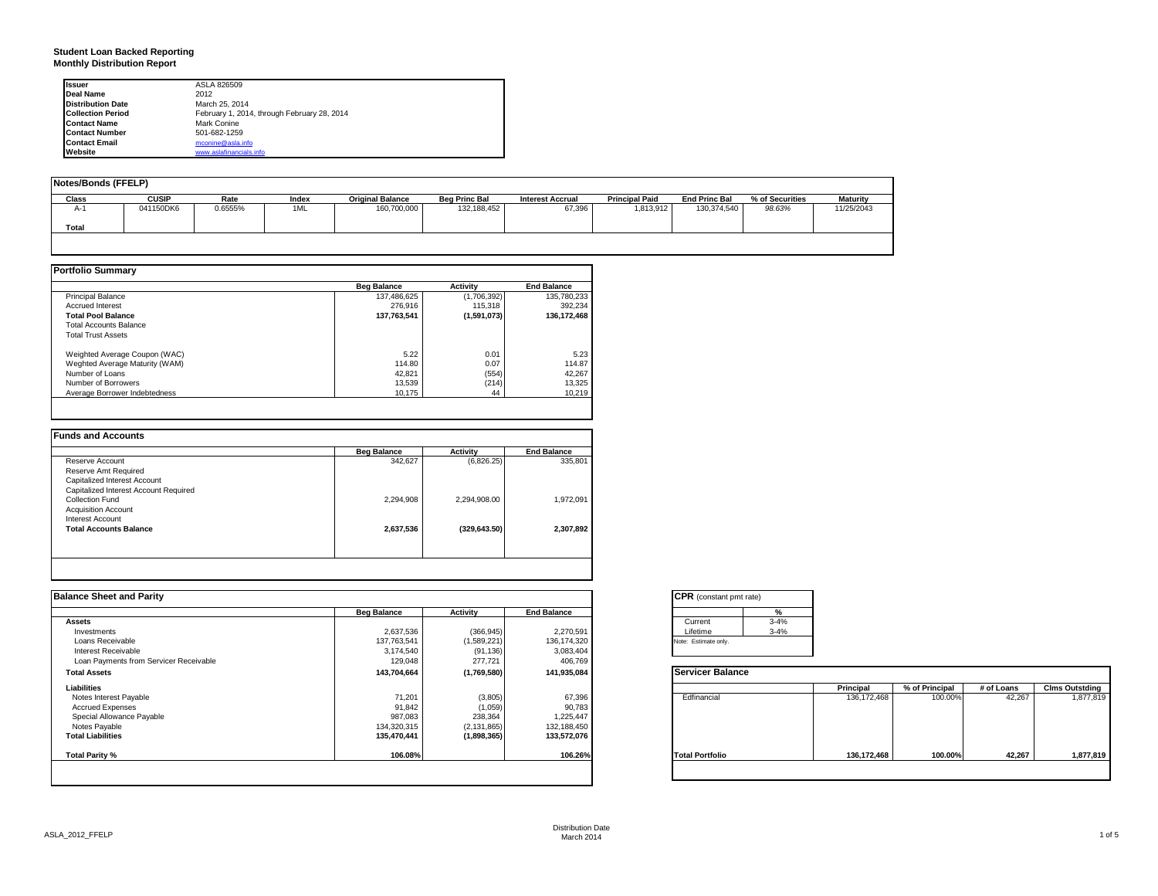### **Student Loan Backed Reporting Monthly Distribution Report**

| <b>Issuer</b>            | ASLA 826509                                 |
|--------------------------|---------------------------------------------|
| Deal Name                | 2012                                        |
| <b>Distribution Date</b> | March 25, 2014                              |
| <b>Collection Period</b> | February 1, 2014, through February 28, 2014 |
| <b>Contact Name</b>      | Mark Conine                                 |
| <b>Contact Number</b>    | 501-682-1259                                |
| <b>Contact Email</b>     | mconine@asla.info                           |
| Website                  | www.aslafinancials.info                     |

| Notes/Bonds (FFELP) |              |         |       |                         |                      |                         |                       |                      |                 |                 |
|---------------------|--------------|---------|-------|-------------------------|----------------------|-------------------------|-----------------------|----------------------|-----------------|-----------------|
| Class               | <b>CUSIP</b> | Rate    | Index | <b>Original Balance</b> | <b>Beg Princ Bal</b> | <b>Interest Accrual</b> | <b>Principal Paid</b> | <b>End Princ Bal</b> | % of Securities | <b>Maturity</b> |
| $A-1$               | 041150DK6    | 0.6555% | 1ML   | 160,700,000             | 132,188,452          | 67,396                  | 1,813,912             | 130.374.540          | 98.63%          | 11/25/2043      |
| Total               |              |         |       |                         |                      |                         |                       |                      |                 |                 |
|                     |              |         |       |                         |                      |                         |                       |                      |                 |                 |

|                                | <b>Beg Balance</b> | <b>Activity</b> | <b>End Balance</b> |
|--------------------------------|--------------------|-----------------|--------------------|
| <b>Principal Balance</b>       | 137.486.625        | (1,706,392)     | 135,780,233        |
| <b>Accrued Interest</b>        | 276,916            | 115,318         | 392.234            |
| <b>Total Pool Balance</b>      | 137.763.541        | (1,591,073)     | 136.172.468        |
| <b>Total Accounts Balance</b>  |                    |                 |                    |
| <b>Total Trust Assets</b>      |                    |                 |                    |
| Weighted Average Coupon (WAC)  | 5.22               | 0.01            | 5.23               |
| Weghted Average Maturity (WAM) | 114.80             | 0.07            | 114.87             |
| Number of Loans                | 42.821             | (554)           | 42,267             |
| Number of Borrowers            | 13,539             | (214)           | 13,325             |
| Average Borrower Indebtedness  | 10.175             | 44              | 10.219             |

|                                       | <b>Beg Balance</b> | <b>Activity</b> | <b>End Balance</b> |
|---------------------------------------|--------------------|-----------------|--------------------|
| Reserve Account                       | 342,627            | (6,826.25)      | 335,801            |
| Reserve Amt Required                  |                    |                 |                    |
| Capitalized Interest Account          |                    |                 |                    |
| Capitalized Interest Account Required |                    |                 |                    |
| Collection Fund                       | 2.294.908          | 2,294,908.00    | 1,972,091          |
| <b>Acquisition Account</b>            |                    |                 |                    |
| <b>Interest Account</b>               |                    |                 |                    |
| <b>Total Accounts Balance</b>         | 2,637,536          | (329, 643.50)   | 2.307.892          |
|                                       |                    |                 |                    |
|                                       |                    |                 |                    |

| <b>Balance Sheet and Parity</b>        |                    |               |                    | <b>CPR</b> (constant pmt rate) |               |                |            |                       |
|----------------------------------------|--------------------|---------------|--------------------|--------------------------------|---------------|----------------|------------|-----------------------|
|                                        | <b>Beg Balance</b> | Activity      | <b>End Balance</b> |                                |               |                |            |                       |
| <b>Assets</b>                          |                    |               |                    | $3 - 4%$<br>Current            |               |                |            |                       |
| Investments                            | 2,637,536          | (366, 945)    | 2,270,591          | $3 - 4%$<br>Lifetime           |               |                |            |                       |
| Loans Receivable                       | 137,763,541        | (1,589,221)   | 136, 174, 320      | Note: Estimate only.           |               |                |            |                       |
| Interest Receivable                    | 3,174,540          | (91, 136)     | 3,083,404          |                                |               |                |            |                       |
| Loan Payments from Servicer Receivable | 129,048            | 277,721       | 406,769            |                                |               |                |            |                       |
| <b>Total Assets</b>                    | 143,704,664        | (1,769,580)   | 141,935,084        | <b>Servicer Balance</b>        |               |                |            |                       |
| Liabilities                            |                    |               |                    |                                | Principal     | % of Principal | # of Loans | <b>Clms Outstding</b> |
| Notes Interest Payable                 | 71,201             | (3,805)       | 67,396             | Edfinancial                    | 136, 172, 468 | 100.00%        | 42,267     | 1,877,819             |
| <b>Accrued Expenses</b>                | 91,842             | (1,059)       | 90,783             |                                |               |                |            |                       |
| Special Allowance Payable              | 987,083            | 238,364       | 1,225,447          |                                |               |                |            |                       |
| Notes Payable                          | 134,320,315        | (2, 131, 865) | 132,188,450        |                                |               |                |            |                       |
| <b>Total Liabilities</b>               | 135,470,441        | (1,898,365)   | 133,572,076        |                                |               |                |            |                       |
| Total Parity %                         | 106.08%            |               | 106.26%            | <b>Total Portfolio</b>         | 136.172.468   | 100.00%        | 42.267     | 1,877,819             |
|                                        |                    |               |                    |                                |               |                |            |                       |
|                                        |                    |               |                    |                                |               |                |            |                       |

| $\text{CPR}$ (constant pmt rate) |          |
|----------------------------------|----------|
|                                  | %        |
| Current                          | $3 - 4%$ |
| Lifetime                         | $3 - 4%$ |
| lote: Estimate only.             |          |
|                                  |          |

|                        | Principal     | % of Principal | # of Loans | <b>Clms Outstding</b> |
|------------------------|---------------|----------------|------------|-----------------------|
| Edfinancial            | 136, 172, 468 | 100.00%        | 42,267     | 1,877,819             |
| <b>Total Portfolio</b> | 136, 172, 468 | 100.00%        | 42,267     | 1,877,819             |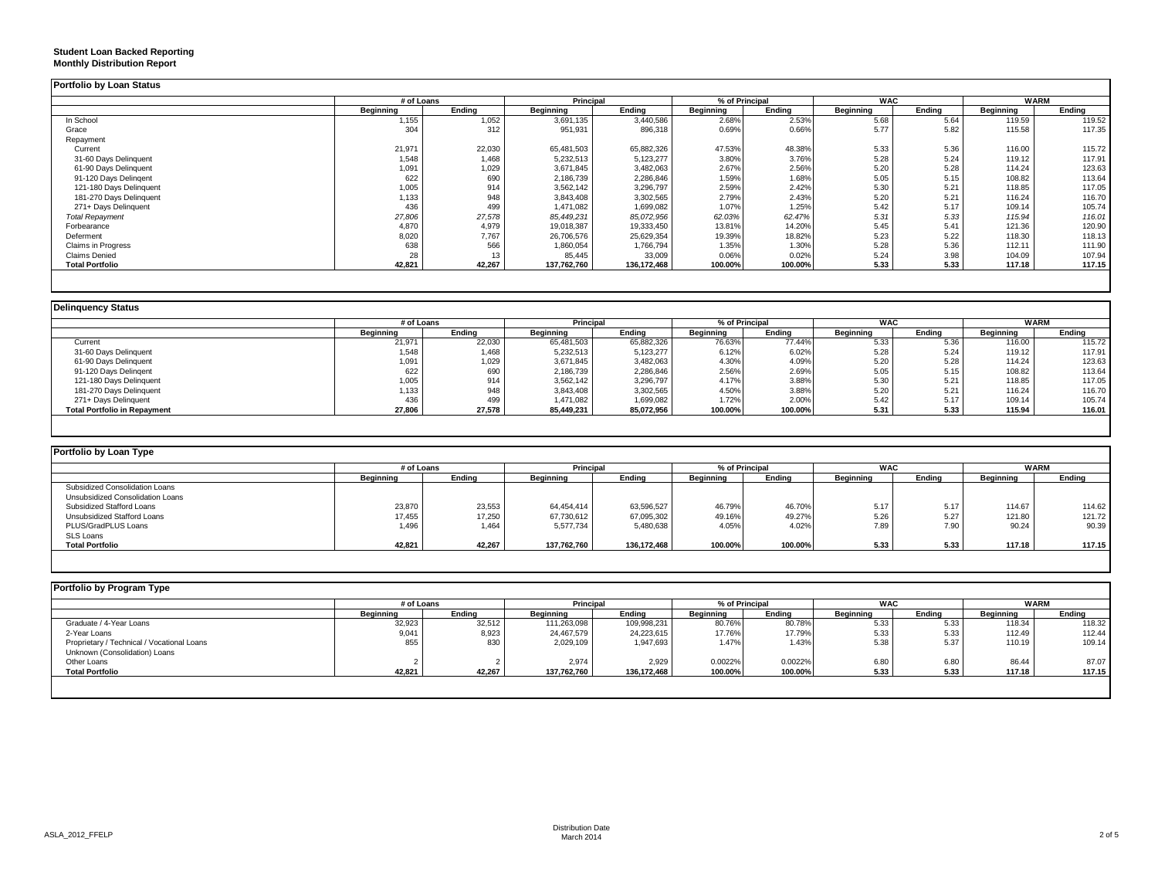#### **Student Loan Backed Reporting Monthly Distribution Report**

|                           | # of Loans |        |             | Principal   |           | % of Principal |           | <b>WAC</b> |                  | <b>WARM</b> |
|---------------------------|------------|--------|-------------|-------------|-----------|----------------|-----------|------------|------------------|-------------|
|                           | Beginning  | Ending | Beainnina   | Endina      | Beginning | Endina         | Beainnina | Endina     | <b>Beainning</b> | Endina      |
| In School                 | 1,155      | 1,052  | 3,691,135   | 3,440,586   | 2.68%     | 2.53%          | 5.68      | 5.64       | 119.59           | 119.52      |
| Grace                     | 304        | 312    | 951,931     | 896,318     | 0.69%     | 0.66%          | 5.77      | 5.82       | 115.58           | 117.35      |
| Repayment                 |            |        |             |             |           |                |           |            |                  |             |
| Current                   | 21,971     | 22,030 | 65,481,503  | 65,882,326  | 47.53%    | 48.38%         | 5.33      | 5.36       | 116.00           | 115.72      |
| 31-60 Days Delinquent     | 1,548      | 1,468  | 5,232,513   | 5,123,277   | 3.80%     | 3.76%          | 5.28      | 5.24       | 119.12           | 117.91      |
| 61-90 Days Delinquent     | 1,091      | 1,029  | 3,671,845   | 3,482,063   | 2.67%     | 2.56%          | 5.20      | 5.28       | 114.24           | 123.63      |
| 91-120 Days Delingent     | 622        | 690    | 2,186,739   | 2,286,846   | 1.59%     | 1.68%          | 5.05      | 5.15       | 108.82           | 113.64      |
| 121-180 Days Delinquent   | 1,005      | 914    | 3,562,142   | 3,296,797   | 2.59%     | 2.42%          | 5.30      | 5.21       | 118.85           | 117.05      |
| 181-270 Days Delinquent   | 1,133      | 948    | 3,843,408   | 3,302,565   | 2.79%     | 2.43%          | 5.20      | 5.21       | 116.24           | 116.70      |
| 271+ Days Delinquent      | 436        | 499    | 1,471,082   | 1,699,082   | 1.07%     | 1.25%          | 5.42      | 5.17       | 109.14           | 105.74      |
| <b>Total Repayment</b>    | 27,806     | 27,578 | 85,449,231  | 85,072,956  | 62.03%    | 62.47%         | 5.31      | 5.33       | 115.94           | 116.01      |
| Forbearance               | 4,870      | 4,979  | 19,018,387  | 19,333,450  | 13.81%    | 14.20%         | 5.45      | 5.41       | 121.36           | 120.90      |
| Deferment                 | 8,020      | 7,767  | 26,706,576  | 25,629,354  | 19.39%    | 18.82%         | 5.23      | 5.22       | 118.30           | 118.13      |
| <b>Claims in Progress</b> | 638        | 566    | 1,860,054   | 1,766,794   | 1.35%     | 1.30%          | 5.28      | 5.36       | 112.11           | 111.90      |
| <b>Claims Denied</b>      | 28         | 13     | 85,445      | 33,009      | 0.06%     | 0.02%          | 5.24      | 3.98       | 104.09           | 107.94      |
| <b>Total Portfolio</b>    | 42,821     | 42,267 | 137,762,760 | 136,172,468 | 100.00%   | 100.00%        | 5.33      | 5.33       | 117.18           | 117.15      |

|                                     |                  | # of Loans |            | <b>Principal</b> |           | % of Principal |                  | <b>WAC</b> |           | <b>WARM</b> |  |
|-------------------------------------|------------------|------------|------------|------------------|-----------|----------------|------------------|------------|-----------|-------------|--|
|                                     | <b>Beginning</b> | Endina     | Beainnina  | Endina           | Beginning | Endina         | <b>Beginning</b> | Endina     | Beginning | Ending      |  |
| Current                             | 21,971           | 22,030     | 65,481,503 | 65,882,326       | 76.63%    | 77.44%         | 5.33             | 5.36       | 116.00    | 115.72      |  |
| 31-60 Days Delinquent               | 1,548            | 1,468      | 5,232,513  | 5,123,277        | 6.12%     | 6.02%          | 5.28             | 5.24       | 119.12    | 117.91      |  |
| 61-90 Days Delinquent               | 1,091            | 1,029      | 3,671,845  | 3,482,063        | 4.30%     | 4.09%          | 5.20             | 5.28       | 114.24    | 123.63      |  |
| 91-120 Days Delingent               | 622              | 690        | 2,186,739  | 2,286,846        | 2.56%     | 2.69%          | 5.05             | 5.15       | 108.82    | 113.64      |  |
| 121-180 Days Delinquent             | 1,005            | 914        | 3,562,142  | 3,296,797        | 4.17%     | 3.88%          | 5.30             | 5.21       | 118.85    | 117.05      |  |
| 181-270 Days Delinquent             | 1,133            | 948        | 3,843,408  | 3,302,565        | 4.50%     | 3.88%          | 5.20             | 5.21       | 116.24    | 116.70      |  |
| 271+ Days Delinquent                | 436              | 499        | 1,471,082  | 1,699,082        | 1.72%     | 2.00%          | 5.42             | 5.17       | 109.14    | 105.74      |  |
| <b>Total Portfolio in Repayment</b> | 27,806           | 27,578     | 85,449,231 | 85,072,956       | 100.00%   | 100.00%        | 5.31             | 5.33       | 115.94    | 116.01      |  |

| Portfolio by Loan Type           |            |        |             |             |                  |         |                  |        |                  |        |  |  |
|----------------------------------|------------|--------|-------------|-------------|------------------|---------|------------------|--------|------------------|--------|--|--|
|                                  | # of Loans |        | Principal   |             | % of Principal   |         | <b>WAC</b>       |        | <b>WARM</b>      |        |  |  |
|                                  | Beginning  | Ending | Beginning   | Endina      | <b>Beginning</b> | Ending  | <b>Beginning</b> | Endina | <b>Beginning</b> | Ending |  |  |
| Subsidized Consolidation Loans   |            |        |             |             |                  |         |                  |        |                  |        |  |  |
| Unsubsidized Consolidation Loans |            |        |             |             |                  |         |                  |        |                  |        |  |  |
| Subsidized Stafford Loans        | 23,870     | 23,553 | 64,454,414  | 63,596,527  | 46.79%           | 46.70%  | 5.17             | 5.17   | 114.67           | 114.62 |  |  |
| Unsubsidized Stafford Loans      | 17,455     | 17,250 | 67,730,612  | 67,095,302  | 49.16%           | 49.27%  | 5.26             | 5.27   | 121.80           | 121.72 |  |  |
| PLUS/GradPLUS Loans              | 1,496      | 1,464  | 5,577,734   | 5,480,638   | 4.05%            | 4.02%   | 7.89             | 7.90   | 90.24            | 90.39  |  |  |
| SLS Loans                        |            |        |             |             |                  |         |                  |        |                  |        |  |  |
| <b>Total Portfolio</b>           | 42,821     | 42.267 | 137.762.760 | 136.172.468 | 100.00%          | 100.00% | 5.33             | 5.33   | 117.18           | 117.15 |  |  |

|                                            |           | # of Loans |             | <b>Principal</b> |           | % of Principal |                  | <b>WAC</b> |                  | <b>WARM</b> |  |
|--------------------------------------------|-----------|------------|-------------|------------------|-----------|----------------|------------------|------------|------------------|-------------|--|
|                                            | Beginning | Endina     | Beginning   | Endina           | Beainnina | Endina         | <b>Beginning</b> | Endina     | <b>Beginning</b> | Endina      |  |
| Graduate / 4-Year Loans                    | 32,923    | 32,512     | 111,263,098 | 109,998,231      | 80.76%    | 80.78%         | 5.33             | 5.33       | 118.34           | 118.32      |  |
| 2-Year Loans                               | 9,041     | 8,923      | 24,467,579  | 24,223,615       | 17.76%    | 17.79%         | 5.33             | 5.33       | 112.49           | 112.44      |  |
| Proprietary / Technical / Vocational Loans | 855       | 830        | 2,029,109   | 1,947,693        | 1.47%     | 1.43%          | 5.38             | 5.37       | 110.19           | 109.14      |  |
| Unknown (Consolidation) Loans              |           |            |             |                  |           |                |                  |            |                  |             |  |
| Other Loans                                |           |            | 2,974       | 2,929            | 0.0022%   | 0.0022%        | 6.80             | 6.80       | 86.44            | 87.07       |  |
| <b>Total Portfolio</b>                     | 42,821    | 42,267     | 137,762,760 | 136,172,468      | 100.00%   | 100.00%        | 5.33             | 5.33       | 117.18           | 117.15      |  |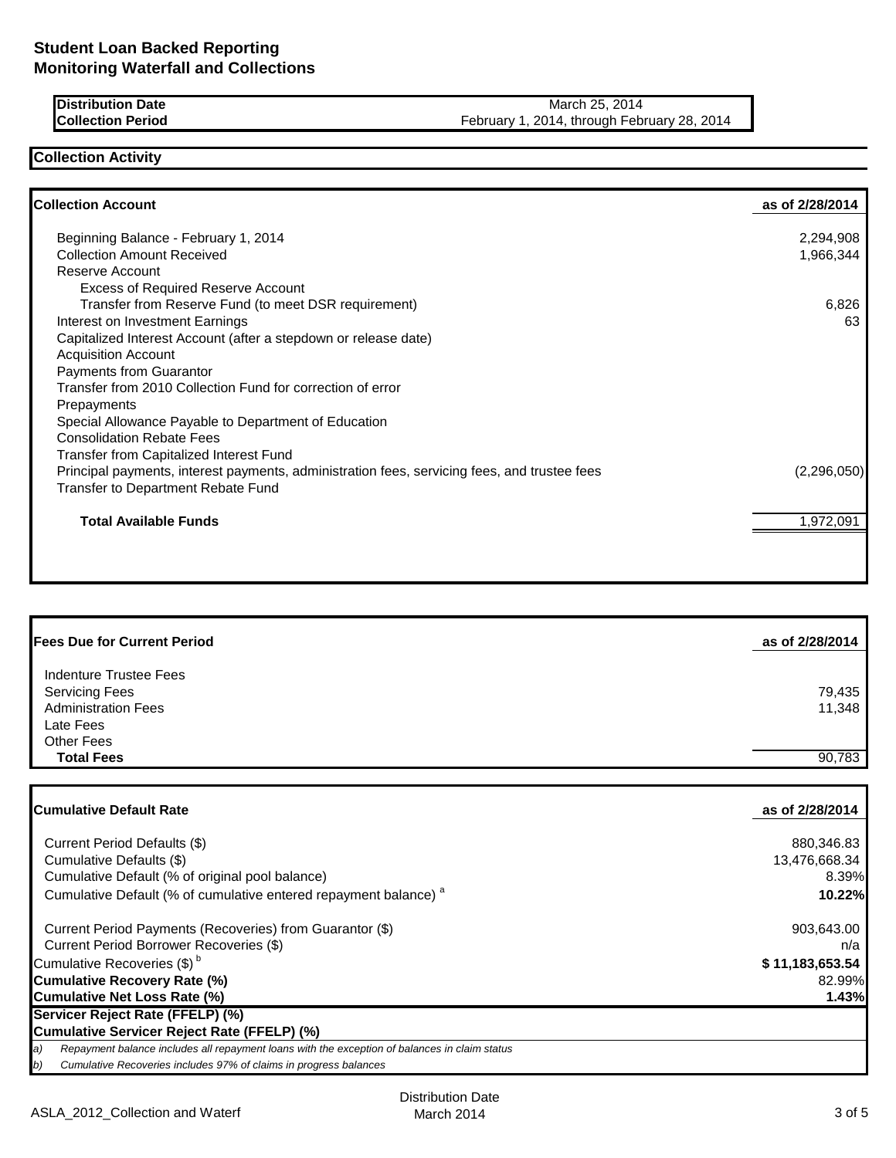**Distribution Date** March 25, 2014<br> **Collection Period** Contesting Properties of the March 25, 2014<br> **Collection Period** Contesting Properties of the March 2014, through February 1, 2014, through February 1, 2014 February 1, 2014, through February 28, 2014

# **Collection Activity**

| <b>Collection Account</b>                                                                    | as of 2/28/2014 |
|----------------------------------------------------------------------------------------------|-----------------|
| Beginning Balance - February 1, 2014                                                         | 2,294,908       |
| <b>Collection Amount Received</b>                                                            | 1,966,344       |
| Reserve Account                                                                              |                 |
| <b>Excess of Required Reserve Account</b>                                                    |                 |
| Transfer from Reserve Fund (to meet DSR requirement)                                         | 6,826           |
| Interest on Investment Earnings                                                              | 63              |
| Capitalized Interest Account (after a stepdown or release date)                              |                 |
| <b>Acquisition Account</b>                                                                   |                 |
| Payments from Guarantor                                                                      |                 |
| Transfer from 2010 Collection Fund for correction of error                                   |                 |
| Prepayments                                                                                  |                 |
| Special Allowance Payable to Department of Education                                         |                 |
| <b>Consolidation Rebate Fees</b>                                                             |                 |
| Transfer from Capitalized Interest Fund                                                      |                 |
| Principal payments, interest payments, administration fees, servicing fees, and trustee fees | (2,296,050)     |
| <b>Transfer to Department Rebate Fund</b>                                                    |                 |
| <b>Total Available Funds</b>                                                                 | 1,972,091       |
|                                                                                              |                 |
|                                                                                              |                 |

| <b>Fees Due for Current Period</b>                                                         | as of 2/28/2014  |
|--------------------------------------------------------------------------------------------|------------------|
| Indenture Trustee Fees<br><b>Servicing Fees</b><br><b>Administration Fees</b><br>Late Fees | 79,435<br>11,348 |
| <b>Other Fees</b><br><b>Total Fees</b>                                                     | 90,783           |

| <b>Cumulative Default Rate</b>                                                                      | as of 2/28/2014 |
|-----------------------------------------------------------------------------------------------------|-----------------|
|                                                                                                     |                 |
| Current Period Defaults (\$)                                                                        | 880,346.83      |
| Cumulative Defaults (\$)                                                                            | 13,476,668.34   |
| Cumulative Default (% of original pool balance)                                                     | 8.39%           |
| Cumulative Default (% of cumulative entered repayment balance) <sup>a</sup>                         | 10.22%          |
| Current Period Payments (Recoveries) from Guarantor (\$)                                            | 903,643.00      |
| Current Period Borrower Recoveries (\$)                                                             | n/a             |
| Cumulative Recoveries (\$) <sup>b</sup>                                                             | \$11,183,653.54 |
| <b>Cumulative Recovery Rate (%)</b>                                                                 | 82.99%          |
| <b>Cumulative Net Loss Rate (%)</b>                                                                 | 1.43%           |
| Servicer Reject Rate (FFELP) (%)                                                                    |                 |
| <b>Cumulative Servicer Reject Rate (FFELP) (%)</b>                                                  |                 |
| Repayment balance includes all repayment loans with the exception of balances in claim status<br>a) |                 |
| b)<br>Cumulative Recoveries includes 97% of claims in progress balances                             |                 |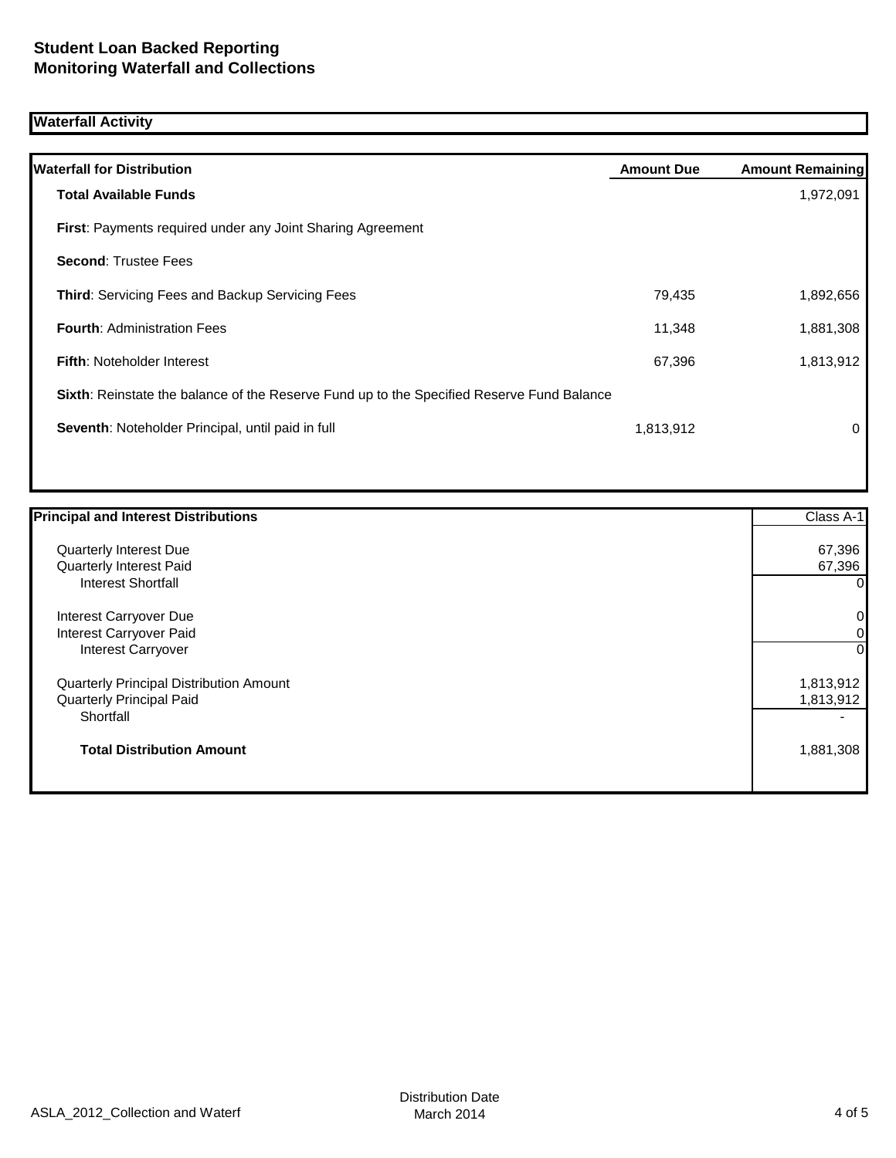## **Waterfall Activity**

| <b>Waterfall for Distribution</b>                                                         | <b>Amount Due</b> | <b>Amount Remaining</b> |
|-------------------------------------------------------------------------------------------|-------------------|-------------------------|
| <b>Total Available Funds</b>                                                              |                   | 1,972,091               |
|                                                                                           |                   |                         |
| <b>First:</b> Payments required under any Joint Sharing Agreement                         |                   |                         |
| <b>Second: Trustee Fees</b>                                                               |                   |                         |
| <b>Third:</b> Servicing Fees and Backup Servicing Fees                                    | 79,435            | 1,892,656               |
| <b>Fourth: Administration Fees</b>                                                        | 11,348            | 1,881,308               |
| <b>Fifth: Noteholder Interest</b>                                                         | 67,396            | 1,813,912               |
| Sixth: Reinstate the balance of the Reserve Fund up to the Specified Reserve Fund Balance |                   |                         |
| Seventh: Noteholder Principal, until paid in full                                         | 1,813,912         | 0                       |
|                                                                                           |                   |                         |

| <b>Principal and Interest Distributions</b> | Class A-1      |
|---------------------------------------------|----------------|
| Quarterly Interest Due                      | 67,396         |
| Quarterly Interest Paid                     | 67,396         |
| Interest Shortfall                          | 0              |
| Interest Carryover Due                      | $\overline{0}$ |
| Interest Carryover Paid                     | $\overline{0}$ |
| <b>Interest Carryover</b>                   | $\Omega$       |
| Quarterly Principal Distribution Amount     | 1,813,912      |
| <b>Quarterly Principal Paid</b>             | 1,813,912      |
| Shortfall                                   | -              |
| <b>Total Distribution Amount</b>            | 1,881,308      |
|                                             |                |